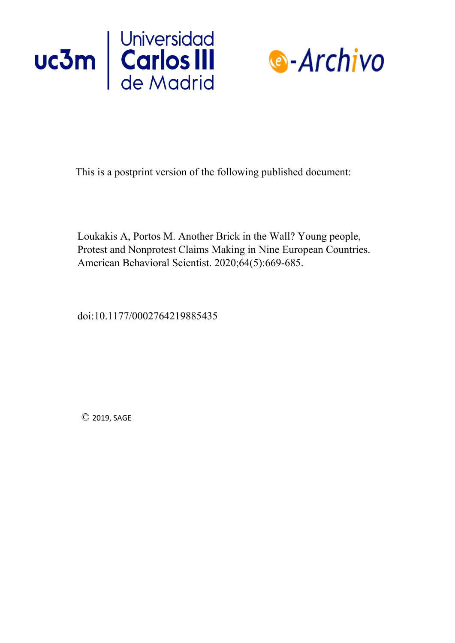



This is a postprint version of the following published document:

Loukakis A, Portos M. Another Brick in the Wall? Young people, Protest and Nonprotest Claims Making in Nine European Countries. American Behavioral Scientist. 2020;64(5):669-685.

doi:10.1177/0002764219885435

© 2019, SAGE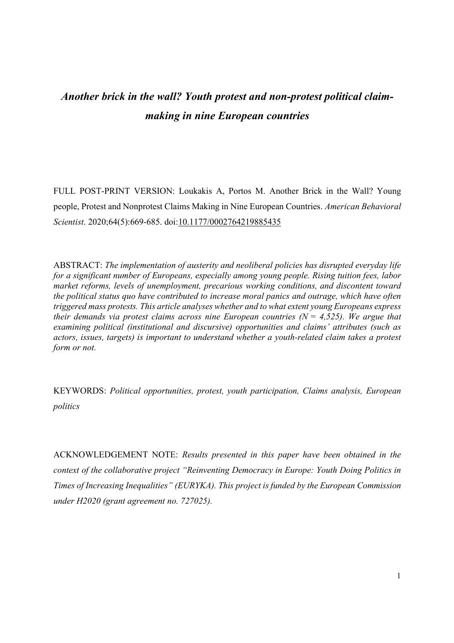# *Another brick in the wall? Youth protest and non-protest political claimmaking in nine European countries*

FULL POST-PRINT VERSION: Loukakis A, Portos M. Another Brick in the Wall? Young people, Protest and Nonprotest Claims Making in Nine European Countries. *American Behavioral Scientist*. 2020;64(5):669-685. doi:10.1177/0002764219885435

ABSTRACT: *The implementation of austerity and neoliberal policies has disrupted everyday life for a significant number of Europeans, especially among young people. Rising tuition fees, labor market reforms, levels of unemployment, precarious working conditions, and discontent toward the political status quo have contributed to increase moral panics and outrage, which have often triggered mass protests. This article analyses whether and to what extent young Europeans express their demands via protest claims across nine European countries (* $N = 4.525$ *). We argue that examining political (institutional and discursive) opportunities and claims' attributes (such as actors, issues, targets) is important to understand whether a youth-related claim takes a protest form or not.* 

KEYWORDS: *Political opportunities, protest, youth participation, Claims analysis, European politics*

ACKNOWLEDGEMENT NOTE: *Results presented in this paper have been obtained in the context of the collaborative project "Reinventing Democracy in Europe: Youth Doing Politics in Times of Increasing Inequalities" (EURYKA). This project is funded by the European Commission under H2020 (grant agreement no. 727025).*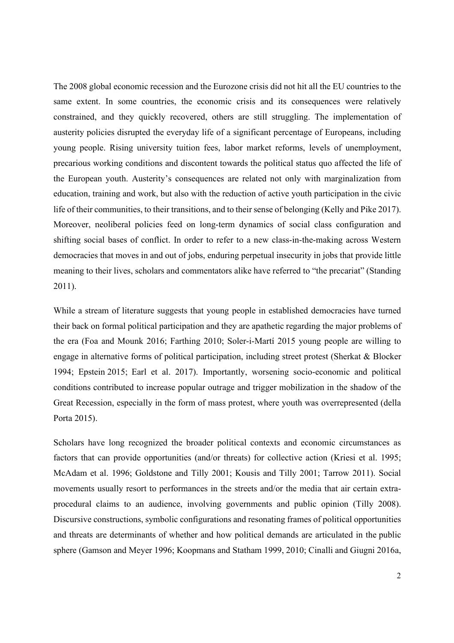The 2008 global economic recession and the Eurozone crisis did not hit all the EU countries to the same extent. In some countries, the economic crisis and its consequences were relatively constrained, and they quickly recovered, others are still struggling. The implementation of austerity policies disrupted the everyday life of a significant percentage of Europeans, including young people. Rising university tuition fees, labor market reforms, levels of unemployment, precarious working conditions and discontent towards the political status quo affected the life of the European youth. Austerity's consequences are related not only with marginalization from education, training and work, but also with the reduction of active youth participation in the civic life of their communities, to their transitions, and to their sense of belonging (Kelly and Pike 2017). Moreover, neoliberal policies feed on long-term dynamics of social class configuration and shifting social bases of conflict. In order to refer to a new class-in-the-making across Western democracies that moves in and out of jobs, enduring perpetual insecurity in jobs that provide little meaning to their lives, scholars and commentators alike have referred to "the precariat" (Standing 2011).

While a stream of literature suggests that young people in established democracies have turned their back on formal political participation and they are apathetic regarding the major problems of the era (Foa and Mounk 2016; Farthing 2010; Soler-i-Martí 2015 young people are willing to engage in alternative forms of political participation, including street protest (Sherkat & Blocker 1994; Epstein 2015; Earl et al. 2017). Importantly, worsening socio-economic and political conditions contributed to increase popular outrage and trigger mobilization in the shadow of the Great Recession, especially in the form of mass protest, where youth was overrepresented (della Porta 2015).

Scholars have long recognized the broader political contexts and economic circumstances as factors that can provide opportunities (and/or threats) for collective action (Kriesi et al. 1995; McAdam et al. 1996; Goldstone and Tilly 2001; Kousis and Tilly 2001; Tarrow 2011). Social movements usually resort to performances in the streets and/or the media that air certain extraprocedural claims to an audience, involving governments and public opinion (Tilly 2008). Discursive constructions, symbolic configurations and resonating frames of political opportunities and threats are determinants of whether and how political demands are articulated in the public sphere (Gamson and Meyer 1996; Koopmans and Statham 1999, 2010; Cinalli and Giugni 2016a,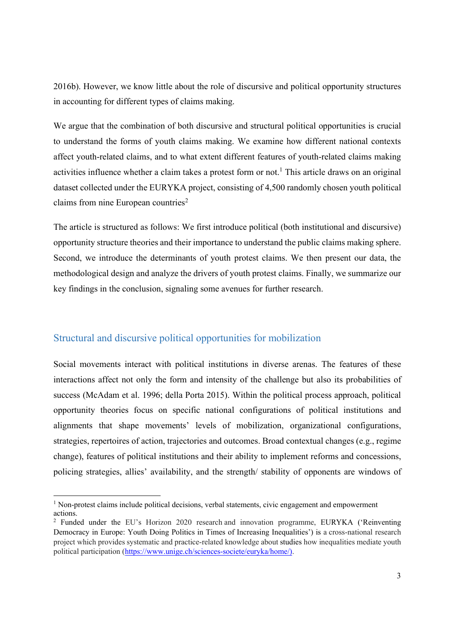2016b). However, we know little about the role of discursive and political opportunity structures in accounting for different types of claims making.

We argue that the combination of both discursive and structural political opportunities is crucial to understand the forms of youth claims making. We examine how different national contexts affect youth-related claims, and to what extent different features of youth-related claims making activities influence whether a claim takes a protest form or not.<sup>1</sup> This article draws on an original dataset collected under the EURYKA project, consisting of 4,500 randomly chosen youth political claims from nine European countries<sup>2</sup>

The article is structured as follows: We first introduce political (both institutional and discursive) opportunity structure theories and their importance to understand the public claims making sphere. Second, we introduce the determinants of youth protest claims. We then present our data, the methodological design and analyze the drivers of youth protest claims. Finally, we summarize our key findings in the conclusion, signaling some avenues for further research.

### Structural and discursive political opportunities for mobilization

Social movements interact with political institutions in diverse arenas. The features of these interactions affect not only the form and intensity of the challenge but also its probabilities of success (McAdam et al. 1996; della Porta 2015). Within the political process approach, political opportunity theories focus on specific national configurations of political institutions and alignments that shape movements' levels of mobilization, organizational configurations, strategies, repertoires of action, trajectories and outcomes. Broad contextual changes (e.g., regime change), features of political institutions and their ability to implement reforms and concessions, policing strategies, allies' availability, and the strength/ stability of opponents are windows of

<sup>&</sup>lt;sup>1</sup> Non-protest claims include political decisions, verbal statements, civic engagement and empowerment actions.

<sup>&</sup>lt;sup>2</sup> Funded under the EU's Horizon 2020 research and innovation programme, EURYKA ('Reinventing Democracy in Europe: Youth Doing Politics in Times of Increasing Inequalities') is a cross-national research project which provides systematic and practice-related knowledge about studies how inequalities mediate youth political participation (https://www.unige.ch/sciences-societe/euryka/home/).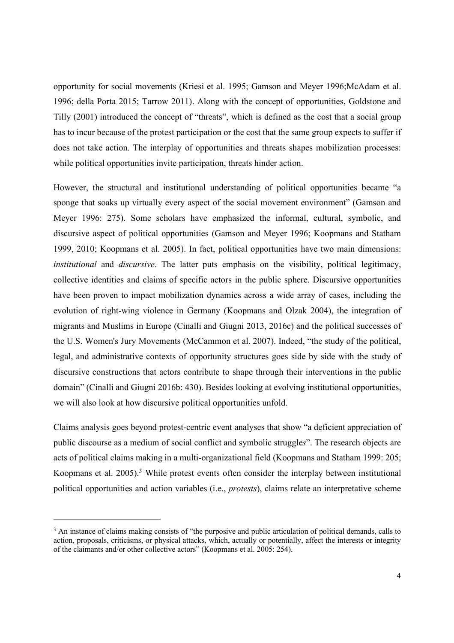opportunity for social movements (Kriesi et al. 1995; Gamson and Meyer 1996;McAdam et al. 1996; della Porta 2015; Tarrow 2011). Along with the concept of opportunities, Goldstone and Tilly (2001) introduced the concept of "threats", which is defined as the cost that a social group has to incur because of the protest participation or the cost that the same group expects to suffer if does not take action. The interplay of opportunities and threats shapes mobilization processes: while political opportunities invite participation, threats hinder action.

However, the structural and institutional understanding of political opportunities became "a sponge that soaks up virtually every aspect of the social movement environment" (Gamson and Meyer 1996: 275). Some scholars have emphasized the informal, cultural, symbolic, and discursive aspect of political opportunities (Gamson and Meyer 1996; Koopmans and Statham 1999, 2010; Koopmans et al. 2005). In fact, political opportunities have two main dimensions: *institutional* and *discursive*. The latter puts emphasis on the visibility, political legitimacy, collective identities and claims of specific actors in the public sphere. Discursive opportunities have been proven to impact mobilization dynamics across a wide array of cases, including the evolution of right-wing violence in Germany (Koopmans and Olzak 2004), the integration of migrants and Muslims in Europe (Cinalli and Giugni 2013, 2016c) and the political successes of the U.S. Women's Jury Movements (McCammon et al. 2007). Indeed, "the study of the political, legal, and administrative contexts of opportunity structures goes side by side with the study of discursive constructions that actors contribute to shape through their interventions in the public domain" (Cinalli and Giugni 2016b: 430). Besides looking at evolving institutional opportunities, we will also look at how discursive political opportunities unfold.

Claims analysis goes beyond protest-centric event analyses that show "a deficient appreciation of public discourse as a medium of social conflict and symbolic struggle*s*". The research objects are acts of political claims making in a multi-organizational field (Koopmans and Statham 1999: 205; Koopmans et al. 2005).<sup>3</sup> While protest events often consider the interplay between institutional political opportunities and action variables (i.e., *protests*), claims relate an interpretative scheme

<sup>&</sup>lt;sup>3</sup> An instance of claims making consists of "the purposive and public articulation of political demands, calls to action, proposals, criticisms, or physical attacks, which, actually or potentially, affect the interests or integrity of the claimants and/or other collective actors" (Koopmans et al. 2005: 254).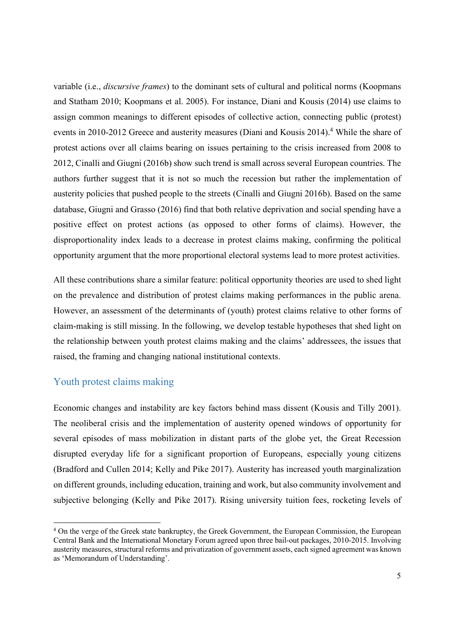variable (i.e., *discursive frames*) to the dominant sets of cultural and political norms (Koopmans and Statham 2010; Koopmans et al. 2005). For instance, Diani and Kousis (2014) use claims to assign common meanings to different episodes of collective action, connecting public (protest) events in 2010-2012 Greece and austerity measures (Diani and Kousis 2014).<sup>4</sup> While the share of protest actions over all claims bearing on issues pertaining to the crisis increased from 2008 to 2012, Cinalli and Giugni (2016b) show such trend is small across several European countries. The authors further suggest that it is not so much the recession but rather the implementation of austerity policies that pushed people to the streets (Cinalli and Giugni 2016b). Based on the same database, Giugni and Grasso (2016) find that both relative deprivation and social spending have a positive effect on protest actions (as opposed to other forms of claims). However, the disproportionality index leads to a decrease in protest claims making, confirming the political opportunity argument that the more proportional electoral systems lead to more protest activities.

All these contributions share a similar feature: political opportunity theories are used to shed light on the prevalence and distribution of protest claims making performances in the public arena. However, an assessment of the determinants of (youth) protest claims relative to other forms of claim-making is still missing. In the following, we develop testable hypotheses that shed light on the relationship between youth protest claims making and the claims' addressees, the issues that raised, the framing and changing national institutional contexts.

### Youth protest claims making

Economic changes and instability are key factors behind mass dissent (Kousis and Tilly 2001). The neoliberal crisis and the implementation of austerity opened windows of opportunity for several episodes of mass mobilization in distant parts of the globe yet, the Great Recession disrupted everyday life for a significant proportion of Europeans, especially young citizens (Bradford and Cullen 2014; Kelly and Pike 2017). Austerity has increased youth marginalization on different grounds, including education, training and work, but also community involvement and subjective belonging (Kelly and Pike 2017). Rising university tuition fees, rocketing levels of

<sup>&</sup>lt;sup>4</sup> On the verge of the Greek state bankruptcy, the Greek Government, the European Commission, the European Central Bank and the International Monetary Forum agreed upon three bail-out packages, 2010-2015. Involving austerity measures, structural reforms and privatization of government assets, each signed agreement was known as 'Memorandum of Understanding'.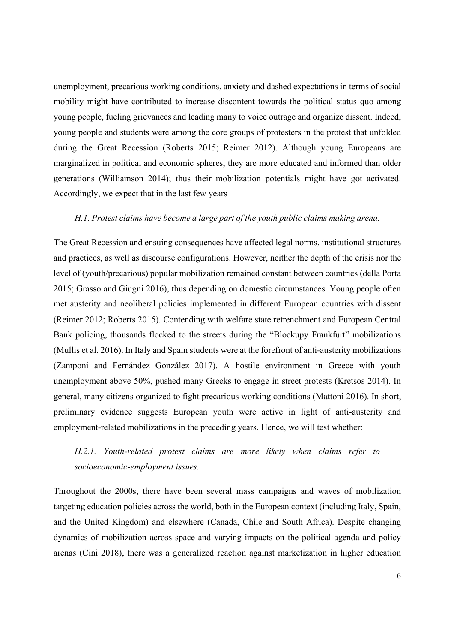unemployment, precarious working conditions, anxiety and dashed expectations in terms of social mobility might have contributed to increase discontent towards the political status quo among young people, fueling grievances and leading many to voice outrage and organize dissent. Indeed, young people and students were among the core groups of protesters in the protest that unfolded during the Great Recession (Roberts 2015; Reimer 2012). Although young Europeans are marginalized in political and economic spheres, they are more educated and informed than older generations (Williamson 2014); thus their mobilization potentials might have got activated. Accordingly, we expect that in the last few years

#### *H.1. Protest claims have become a large part of the youth public claims making arena.*

The Great Recession and ensuing consequences have affected legal norms, institutional structures and practices, as well as discourse configurations. However, neither the depth of the crisis nor the level of (youth/precarious) popular mobilization remained constant between countries (della Porta 2015; Grasso and Giugni 2016), thus depending on domestic circumstances. Young people often met austerity and neoliberal policies implemented in different European countries with dissent (Reimer 2012; Roberts 2015). Contending with welfare state retrenchment and European Central Bank policing, thousands flocked to the streets during the "Blockupy Frankfurt" mobilizations (Mullis et al. 2016). In Italy and Spain students were at the forefront of anti-austerity mobilizations (Zamponi and Fernández González 2017). A hostile environment in Greece with youth unemployment above 50%, pushed many Greeks to engage in street protests (Kretsos 2014). In general, many citizens organized to fight precarious working conditions (Mattoni 2016). In short, preliminary evidence suggests European youth were active in light of anti-austerity and employment-related mobilizations in the preceding years. Hence, we will test whether:

# *H.2.1. Youth-related protest claims are more likely when claims refer to socioeconomic-employment issues.*

Throughout the 2000s, there have been several mass campaigns and waves of mobilization targeting education policies across the world, both in the European context (including Italy, Spain, and the United Kingdom) and elsewhere (Canada, Chile and South Africa). Despite changing dynamics of mobilization across space and varying impacts on the political agenda and policy arenas (Cini 2018), there was a generalized reaction against marketization in higher education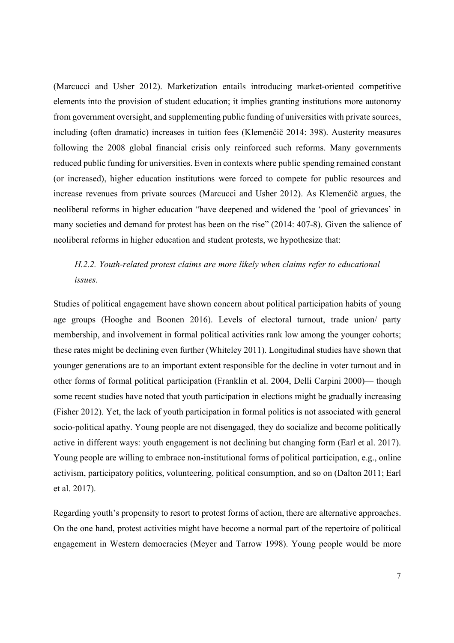(Marcucci and Usher 2012). Marketization entails introducing market-oriented competitive elements into the provision of student education; it implies granting institutions more autonomy from government oversight, and supplementing public funding of universities with private sources, including (often dramatic) increases in tuition fees (Klemenčič 2014: 398). Austerity measures following the 2008 global financial crisis only reinforced such reforms. Many governments reduced public funding for universities. Even in contexts where public spending remained constant (or increased), higher education institutions were forced to compete for public resources and increase revenues from private sources (Marcucci and Usher 2012). As Klemenčič argues, the neoliberal reforms in higher education "have deepened and widened the 'pool of grievances' in many societies and demand for protest has been on the rise" (2014: 407-8). Given the salience of neoliberal reforms in higher education and student protests, we hypothesize that:

# *H.2.2. Youth-related protest claims are more likely when claims refer to educational issues.*

Studies of political engagement have shown concern about political participation habits of young age groups (Hooghe and Boonen 2016). Levels of electoral turnout, trade union/ party membership, and involvement in formal political activities rank low among the younger cohorts; these rates might be declining even further (Whiteley 2011). Longitudinal studies have shown that younger generations are to an important extent responsible for the decline in voter turnout and in other forms of formal political participation (Franklin et al. 2004, Delli Carpini 2000)— though some recent studies have noted that youth participation in elections might be gradually increasing (Fisher 2012). Yet, the lack of youth participation in formal politics is not associated with general socio-political apathy. Young people are not disengaged, they do socialize and become politically active in different ways: youth engagement is not declining but changing form (Earl et al. 2017). Young people are willing to embrace non-institutional forms of political participation, e.g., online activism, participatory politics, volunteering, political consumption, and so on (Dalton 2011; Earl et al. 2017).

Regarding youth's propensity to resort to protest forms of action, there are alternative approaches. On the one hand, protest activities might have become a normal part of the repertoire of political engagement in Western democracies (Meyer and Tarrow 1998). Young people would be more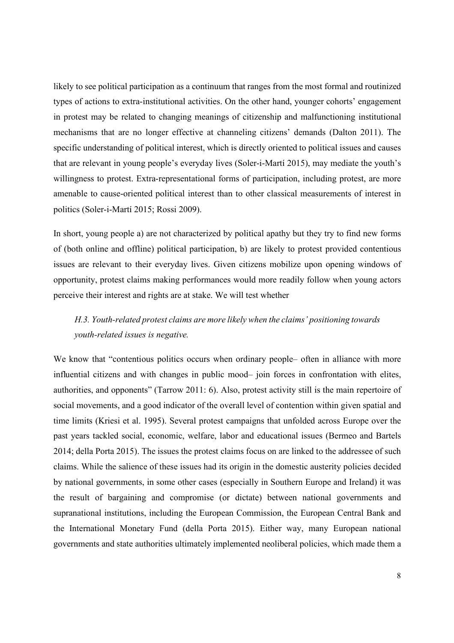likely to see political participation as a continuum that ranges from the most formal and routinized types of actions to extra-institutional activities. On the other hand, younger cohorts' engagement in protest may be related to changing meanings of citizenship and malfunctioning institutional mechanisms that are no longer effective at channeling citizens' demands (Dalton 2011). The specific understanding of political interest, which is directly oriented to political issues and causes that are relevant in young people's everyday lives (Soler-i-Martí 2015), may mediate the youth's willingness to protest. Extra-representational forms of participation, including protest, are more amenable to cause-oriented political interest than to other classical measurements of interest in politics (Soler-i-Martí 2015; Rossi 2009).

In short, young people a) are not characterized by political apathy but they try to find new forms of (both online and offline) political participation, b) are likely to protest provided contentious issues are relevant to their everyday lives. Given citizens mobilize upon opening windows of opportunity, protest claims making performances would more readily follow when young actors perceive their interest and rights are at stake. We will test whether

# *H.3. Youth-related protest claims are more likely when the claims' positioning towards youth-related issues is negative.*

We know that "contentious politics occurs when ordinary people- often in alliance with more influential citizens and with changes in public mood– join forces in confrontation with elites, authorities, and opponents" (Tarrow 2011: 6). Also, protest activity still is the main repertoire of social movements, and a good indicator of the overall level of contention within given spatial and time limits (Kriesi et al. 1995). Several protest campaigns that unfolded across Europe over the past years tackled social, economic, welfare, labor and educational issues (Bermeo and Bartels 2014; della Porta 2015). The issues the protest claims focus on are linked to the addressee of such claims. While the salience of these issues had its origin in the domestic austerity policies decided by national governments, in some other cases (especially in Southern Europe and Ireland) it was the result of bargaining and compromise (or dictate) between national governments and supranational institutions, including the European Commission, the European Central Bank and the International Monetary Fund (della Porta 2015). Either way, many European national governments and state authorities ultimately implemented neoliberal policies, which made them a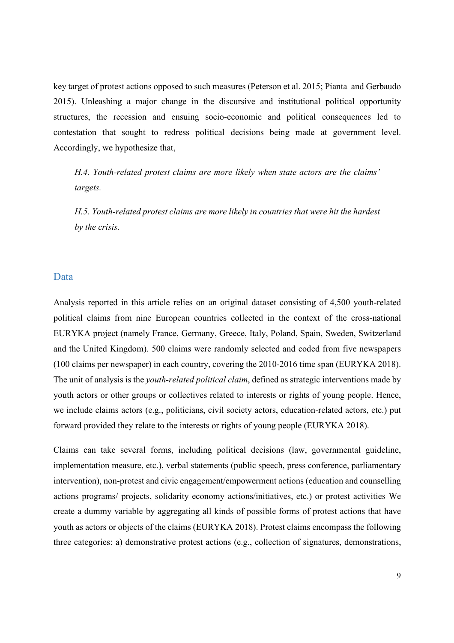key target of protest actions opposed to such measures (Peterson et al. 2015; Pianta and Gerbaudo 2015). Unleashing a major change in the discursive and institutional political opportunity structures, the recession and ensuing socio-economic and political consequences led to contestation that sought to redress political decisions being made at government level. Accordingly, we hypothesize that,

*H.4. Youth-related protest claims are more likely when state actors are the claims' targets.* 

*H.5. Youth-related protest claims are more likely in countries that were hit the hardest by the crisis.* 

#### Data

Analysis reported in this article relies on an original dataset consisting of 4,500 youth-related political claims from nine European countries collected in the context of the cross-national EURYKA project (namely France, Germany, Greece, Italy, Poland, Spain, Sweden, Switzerland and the United Kingdom). 500 claims were randomly selected and coded from five newspapers (100 claims per newspaper) in each country, covering the 2010-2016 time span (EURYKA 2018). The unit of analysis is the *youth-related political claim*, defined as strategic interventions made by youth actors or other groups or collectives related to interests or rights of young people. Hence, we include claims actors (e.g., politicians, civil society actors, education-related actors, etc.) put forward provided they relate to the interests or rights of young people (EURYKA 2018).

Claims can take several forms, including political decisions (law, governmental guideline, implementation measure, etc.), verbal statements (public speech, press conference, parliamentary intervention), non-protest and civic engagement/empowerment actions (education and counselling actions programs/ projects, solidarity economy actions/initiatives, etc.) or protest activities We create a dummy variable by aggregating all kinds of possible forms of protest actions that have youth as actors or objects of the claims (EURYKA 2018). Protest claims encompass the following three categories: a) demonstrative protest actions (e.g., collection of signatures, demonstrations,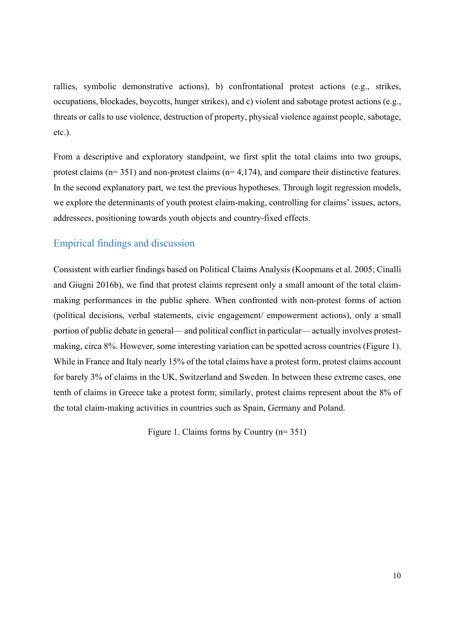rallies, symbolic demonstrative actions), b) confrontational protest actions (e.g., strikes, occupations, blockades, boycotts, hunger strikes), and c) violent and sabotage protest actions (e.g., threats or calls to use violence, destruction of property, physical violence against people, sabotage, etc.).

From a descriptive and exploratory standpoint, we first split the total claims into two groups, protest claims (n= 351) and non-protest claims (n= 4,174), and compare their distinctive features. In the second explanatory part, we test the previous hypotheses. Through logit regression models, we explore the determinants of youth protest claim-making, controlling for claims' issues, actors, addressees, positioning towards youth objects and country-fixed effects.

#### Empirical findings and discussion

Consistent with earlier findings based on Political Claims Analysis (Koopmans et al. 2005; Cinalli and Giugni 2016b), we find that protest claims represent only a small amount of the total claimmaking performances in the public sphere. When confronted with non-protest forms of action (political decisions, verbal statements, civic engagement/ empowerment actions), only a small portion of public debate in general— and political conflict in particular— actually involves protestmaking, circa 8%. However, some interesting variation can be spotted across countries (Figure 1). While in France and Italy nearly 15% of the total claims have a protest form, protest claims account for barely 3% of claims in the UK, Switzerland and Sweden. In between these extreme cases, one tenth of claims in Greece take a protest form; similarly, protest claims represent about the 8% of the total claim-making activities in countries such as Spain, Germany and Poland.

Figure 1. Claims forms by Country (n= 351)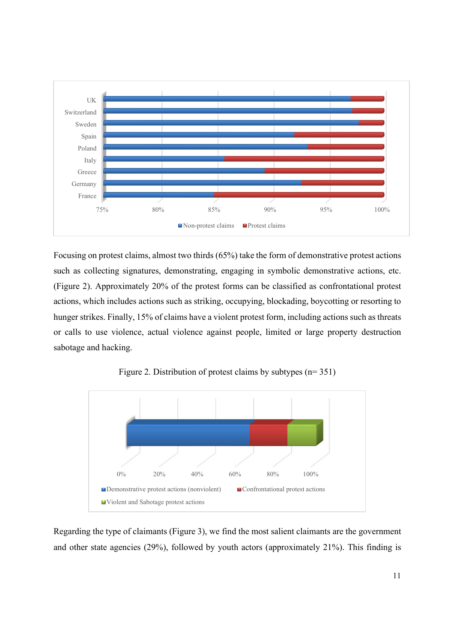

Focusing on protest claims, almost two thirds (65%) take the form of demonstrative protest actions such as collecting signatures, demonstrating, engaging in symbolic demonstrative actions, etc. (Figure 2). Approximately 20% of the protest forms can be classified as confrontational protest actions, which includes actions such as striking, occupying, blockading, boycotting or resorting to hunger strikes. Finally, 15% of claims have a violent protest form, including actions such as threats or calls to use violence, actual violence against people, limited or large property destruction sabotage and hacking.



Figure 2. Distribution of protest claims by subtypes (n= 351)

Regarding the type of claimants (Figure 3), we find the most salient claimants are the government and other state agencies (29%), followed by youth actors (approximately 21%). This finding is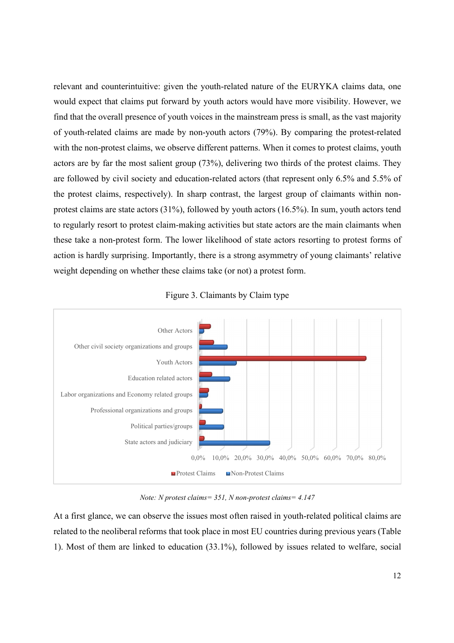relevant and counterintuitive: given the youth-related nature of the EURYKA claims data, one would expect that claims put forward by youth actors would have more visibility. However, we find that the overall presence of youth voices in the mainstream press is small, as the vast majority of youth-related claims are made by non-youth actors (79%). By comparing the protest-related with the non-protest claims, we observe different patterns. When it comes to protest claims, youth actors are by far the most salient group (73%), delivering two thirds of the protest claims. They are followed by civil society and education-related actors (that represent only 6.5% and 5.5% of the protest claims, respectively). In sharp contrast, the largest group of claimants within nonprotest claims are state actors (31%), followed by youth actors (16.5%). In sum, youth actors tend to regularly resort to protest claim-making activities but state actors are the main claimants when these take a non-protest form. The lower likelihood of state actors resorting to protest forms of action is hardly surprising. Importantly, there is a strong asymmetry of young claimants' relative weight depending on whether these claims take (or not) a protest form.



Figure 3. Claimants by Claim type

*Note: N protest claims= 351, N non-protest claims= 4.147* 

At a first glance, we can observe the issues most often raised in youth-related political claims are related to the neoliberal reforms that took place in most EU countries during previous years (Table 1). Most of them are linked to education (33.1%), followed by issues related to welfare, social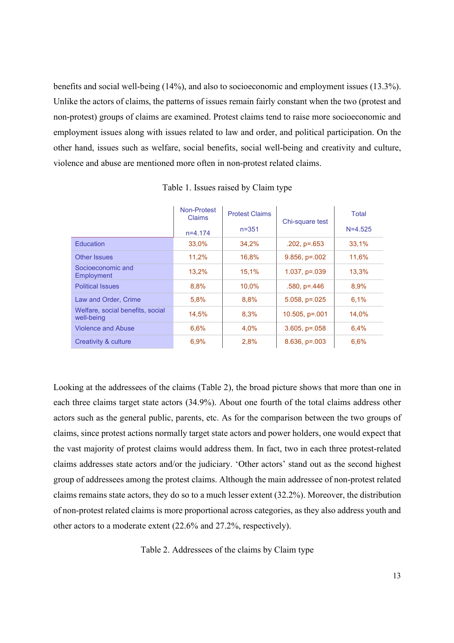benefits and social well-being (14%), and also to socioeconomic and employment issues (13.3%). Unlike the actors of claims, the patterns of issues remain fairly constant when the two (protest and non-protest) groups of claims are examined. Protest claims tend to raise more socioeconomic and employment issues along with issues related to law and order, and political participation. On the other hand, issues such as welfare, social benefits, social well-being and creativity and culture, violence and abuse are mentioned more often in non-protest related claims.

|                                                | Non-Protest<br><b>Claims</b> | <b>Protest Claims</b> | Chi-square test     | <b>Total</b> |
|------------------------------------------------|------------------------------|-----------------------|---------------------|--------------|
|                                                | $n=4.174$                    | $n = 351$             |                     | $N = 4.525$  |
| Education                                      | 33,0%                        | 34,2%                 | $.202, p = .653$    | 33,1%        |
| Other Issues                                   | 11.2%                        | 16.8%                 | $9.856, p=.002$     | 11.6%        |
| Socioeconomic and<br>Employment                | 13.2%                        | 15,1%                 | $1.037, p=.039$     | 13.3%        |
| <b>Political Issues</b>                        | 8,8%                         | 10,0%                 | $.580, p=.446$      | 8,9%         |
| Law and Order, Crime                           | 5,8%                         | 8,8%                  | $5.058$ , $p=.025$  | 6,1%         |
| Welfare, social benefits, social<br>well-being | 14.5%                        | 8.3%                  | $10.505$ , $p=.001$ | 14.0%        |
| <b>Violence and Abuse</b>                      | 6,6%                         | 4,0%                  | $3.605$ , $p=.058$  | 6.4%         |
| Creativity & culture                           | 6.9%                         | 2.8%                  | $8.636, p = .003$   | 6.6%         |

Table 1. Issues raised by Claim type

Looking at the addressees of the claims (Table 2), the broad picture shows that more than one in each three claims target state actors (34.9%). About one fourth of the total claims address other actors such as the general public, parents, etc. As for the comparison between the two groups of claims, since protest actions normally target state actors and power holders, one would expect that the vast majority of protest claims would address them. In fact, two in each three protest-related claims addresses state actors and/or the judiciary. 'Other actors' stand out as the second highest group of addressees among the protest claims. Although the main addressee of non-protest related claims remains state actors, they do so to a much lesser extent (32.2%). Moreover, the distribution of non-protest related claims is more proportional across categories, as they also address youth and other actors to a moderate extent (22.6% and 27.2%, respectively).

Table 2. Addressees of the claims by Claim type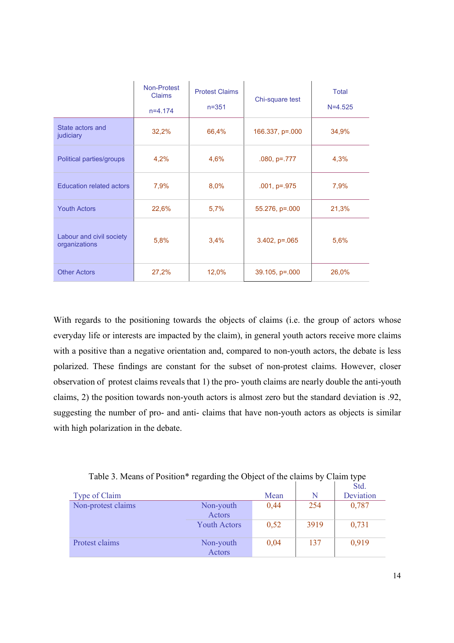|                                           | <b>Non-Protest</b><br><b>Claims</b><br>$n=4.174$ | <b>Protest Claims</b><br>$n = 351$ | Chi-square test     | Total<br>$N=4.525$ |
|-------------------------------------------|--------------------------------------------------|------------------------------------|---------------------|--------------------|
| State actors and<br>judiciary             | 32,2%                                            | 66,4%                              | 166.337, p=.000     | 34,9%              |
| Political parties/groups                  | 4,2%                                             | 4,6%                               | $.080, p=.777$      | 4,3%               |
| <b>Education related actors</b>           | 7,9%                                             | 8,0%                               | $.001, p=.975$      | 7,9%               |
| <b>Youth Actors</b>                       | 22,6%                                            | 5,7%                               | 55.276, p=.000      | 21,3%              |
| Labour and civil society<br>organizations | 5,8%                                             | 3,4%                               | $3.402$ , $p=.065$  | 5,6%               |
| <b>Other Actors</b>                       | 27,2%                                            | 12,0%                              | $39.105$ , $p=.000$ | 26,0%              |

With regards to the positioning towards the objects of claims (i.e. the group of actors whose everyday life or interests are impacted by the claim), in general youth actors receive more claims with a positive than a negative orientation and, compared to non-youth actors, the debate is less polarized. These findings are constant for the subset of non-protest claims. However, closer observation of protest claims reveals that 1) the pro- youth claims are nearly double the anti-youth claims, 2) the position towards non-youth actors is almost zero but the standard deviation is .92, suggesting the number of pro- and anti- claims that have non-youth actors as objects is similar with high polarization in the debate.

|                    | $\epsilon$          |      |      | ┙┸<br>Std. |
|--------------------|---------------------|------|------|------------|
| Type of Claim      |                     | Mean | N    | Deviation  |
| Non-protest claims | Non-youth           | 0,44 | 254  | 0,787      |
|                    | Actors              |      |      |            |
|                    | <b>Youth Actors</b> | 0,52 | 3919 | 0,731      |
| Protest claims     | Non-youth           | 0,04 | 137  | 0,919      |
|                    | <b>Actors</b>       |      |      |            |

Table 3. Means of Position\* regarding the Object of the claims by Claim type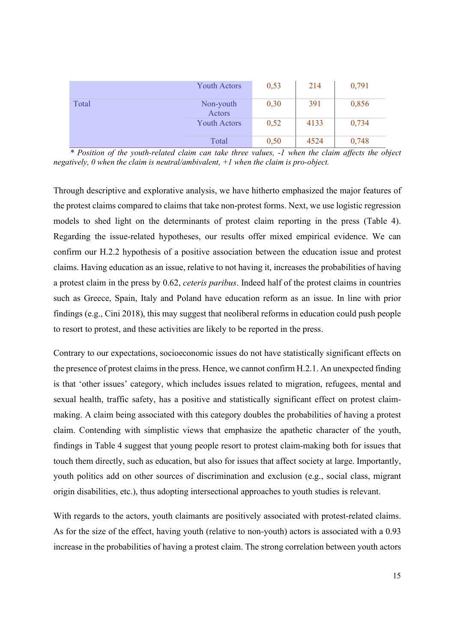|       | <b>Youth Actors</b> | 0,53 | 214  | 0,791 |
|-------|---------------------|------|------|-------|
| Total | Non-youth<br>Actors | 0,30 | 391  | 0,856 |
|       | <b>Youth Actors</b> | 0,52 | 4133 | 0,734 |
|       | Total               | 0,50 | 4524 | 0,748 |

*\* Position of the youth-related claim can take three values, -1 when the claim affects the object negatively, 0 when the claim is neutral/ambivalent, +1 when the claim is pro-object.* 

Through descriptive and explorative analysis, we have hitherto emphasized the major features of the protest claims compared to claims that take non-protest forms. Next, we use logistic regression models to shed light on the determinants of protest claim reporting in the press (Table 4). Regarding the issue-related hypotheses, our results offer mixed empirical evidence. We can confirm our H.2.2 hypothesis of a positive association between the education issue and protest claims. Having education as an issue, relative to not having it, increases the probabilities of having a protest claim in the press by 0.62, *ceteris paribus*. Indeed half of the protest claims in countries such as Greece, Spain, Italy and Poland have education reform as an issue. In line with prior findings (e.g., Cini 2018), this may suggest that neoliberal reforms in education could push people to resort to protest, and these activities are likely to be reported in the press.

Contrary to our expectations, socioeconomic issues do not have statistically significant effects on the presence of protest claims in the press. Hence, we cannot confirm H.2.1. An unexpected finding is that 'other issues' category, which includes issues related to migration, refugees, mental and sexual health, traffic safety, has a positive and statistically significant effect on protest claimmaking. A claim being associated with this category doubles the probabilities of having a protest claim. Contending with simplistic views that emphasize the apathetic character of the youth, findings in Table 4 suggest that young people resort to protest claim-making both for issues that touch them directly, such as education, but also for issues that affect society at large. Importantly, youth politics add on other sources of discrimination and exclusion (e.g., social class, migrant origin disabilities, etc.), thus adopting intersectional approaches to youth studies is relevant.

With regards to the actors, youth claimants are positively associated with protest-related claims. As for the size of the effect, having youth (relative to non-youth) actors is associated with a 0.93 increase in the probabilities of having a protest claim. The strong correlation between youth actors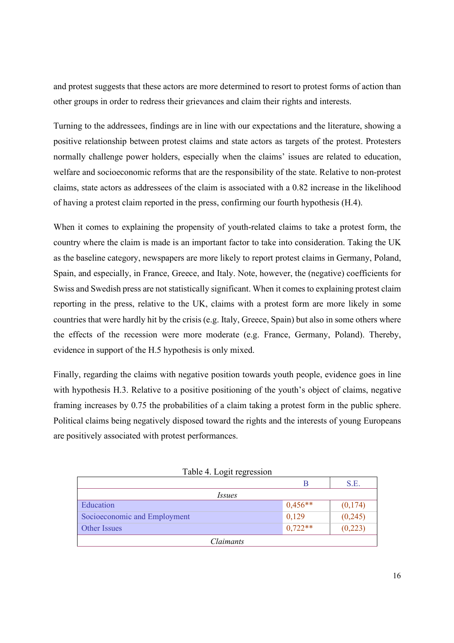and protest suggests that these actors are more determined to resort to protest forms of action than other groups in order to redress their grievances and claim their rights and interests.

Turning to the addressees, findings are in line with our expectations and the literature, showing a positive relationship between protest claims and state actors as targets of the protest. Protesters normally challenge power holders, especially when the claims' issues are related to education, welfare and socioeconomic reforms that are the responsibility of the state. Relative to non-protest claims, state actors as addressees of the claim is associated with a 0.82 increase in the likelihood of having a protest claim reported in the press, confirming our fourth hypothesis (H.4).

When it comes to explaining the propensity of youth-related claims to take a protest form, the country where the claim is made is an important factor to take into consideration. Taking the UK as the baseline category, newspapers are more likely to report protest claims in Germany, Poland, Spain, and especially, in France, Greece, and Italy. Note, however, the (negative) coefficients for Swiss and Swedish press are not statistically significant. When it comes to explaining protest claim reporting in the press, relative to the UK, claims with a protest form are more likely in some countries that were hardly hit by the crisis (e.g. Italy, Greece, Spain) but also in some others where the effects of the recession were more moderate (e.g. France, Germany, Poland). Thereby, evidence in support of the H.5 hypothesis is only mixed.

Finally, regarding the claims with negative position towards youth people, evidence goes in line with hypothesis H.3. Relative to a positive positioning of the youth's object of claims, negative framing increases by 0.75 the probabilities of a claim taking a protest form in the public sphere. Political claims being negatively disposed toward the rights and the interests of young Europeans are positively associated with protest performances.

|                              |           | S.E.     |  |  |
|------------------------------|-----------|----------|--|--|
| <i>Issues</i>                |           |          |  |  |
| Education                    | $0,456**$ | (0,174)  |  |  |
| Socioeconomic and Employment | 0,129     | (0, 245) |  |  |
| Other Issues                 | $0,722**$ | (0,223)  |  |  |
| <i>Claimants</i>             |           |          |  |  |

|  | Table 4. Logit regression |
|--|---------------------------|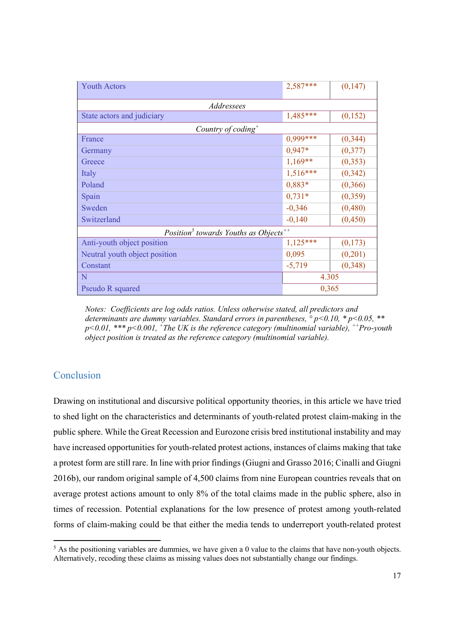| <b>Youth Actors</b>                                    | 2,587***   | (0,147)  |  |
|--------------------------------------------------------|------------|----------|--|
| Addressees                                             |            |          |  |
| State actors and judiciary                             | $1,485***$ | (0,152)  |  |
| Country of coding <sup>+</sup>                         |            |          |  |
| France                                                 | 0,999***   | (0, 344) |  |
| Germany                                                | $0,947*$   | (0,377)  |  |
| Greece                                                 | $1,169**$  | (0, 353) |  |
| Italy                                                  | $1,516***$ | (0, 342) |  |
| Poland                                                 | $0,883*$   | (0, 366) |  |
| Spain                                                  | $0,731*$   | (0,359)  |  |
| Sweden                                                 | $-0,346$   | (0,480)  |  |
| Switzerland                                            | $-0,140$   | (0,450)  |  |
| Position <sup>5</sup> towards Youths as $Objects^{++}$ |            |          |  |
| Anti-youth object position                             | $1,125***$ | (0,173)  |  |
| Neutral youth object position                          | 0,095      | (0,201)  |  |
| Constant                                               | $-5,719$   | (0, 348) |  |
| N                                                      | 4.305      |          |  |
| Pseudo R squared                                       | 0,365      |          |  |

*Notes: Coefficients are log odds ratios. Unless otherwise stated, all predictors and determinants are dummy variables. Standard errors in parentheses, ° p<0.10, \* p<0.05, \*\* p<0.01, \*\*\* p<0.001, <sup>+</sup>The UK is the reference category (multinomial variable), ++Pro-youth object position is treated as the reference category (multinomial variable).* 

# Conclusion

Drawing on institutional and discursive political opportunity theories, in this article we have tried to shed light on the characteristics and determinants of youth-related protest claim-making in the public sphere. While the Great Recession and Eurozone crisis bred institutional instability and may have increased opportunities for youth-related protest actions, instances of claims making that take a protest form are still rare. In line with prior findings (Giugni and Grasso 2016; Cinalli and Giugni 2016b), our random original sample of 4,500 claims from nine European countries reveals that on average protest actions amount to only 8% of the total claims made in the public sphere, also in times of recession. Potential explanations for the low presence of protest among youth-related forms of claim-making could be that either the media tends to underreport youth-related protest

<sup>&</sup>lt;sup>5</sup> As the positioning variables are dummies, we have given a 0 value to the claims that have non-youth objects. Alternatively, recoding these claims as missing values does not substantially change our findings.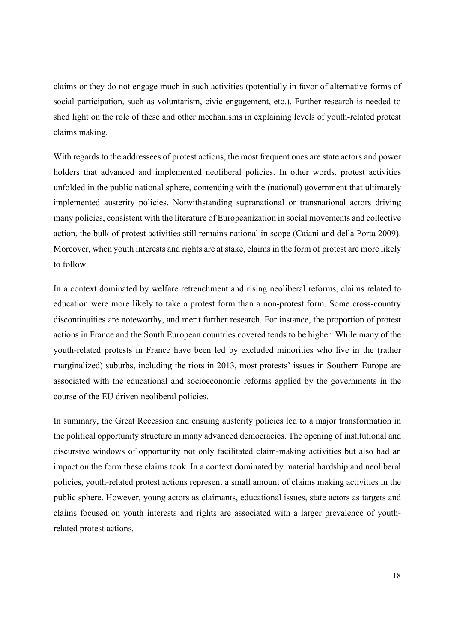claims or they do not engage much in such activities (potentially in favor of alternative forms of social participation, such as voluntarism, civic engagement, etc.). Further research is needed to shed light on the role of these and other mechanisms in explaining levels of youth-related protest claims making.

With regards to the addressees of protest actions, the most frequent ones are state actors and power holders that advanced and implemented neoliberal policies. In other words, protest activities unfolded in the public national sphere, contending with the (national) government that ultimately implemented austerity policies. Notwithstanding supranational or transnational actors driving many policies, consistent with the literature of Europeanization in social movements and collective action, the bulk of protest activities still remains national in scope (Caiani and della Porta 2009). Moreover, when youth interests and rights are at stake, claims in the form of protest are more likely to follow.

In a context dominated by welfare retrenchment and rising neoliberal reforms, claims related to education were more likely to take a protest form than a non-protest form. Some cross-country discontinuities are noteworthy, and merit further research. For instance, the proportion of protest actions in France and the South European countries covered tends to be higher. While many of the youth-related protests in France have been led by excluded minorities who live in the (rather marginalized) suburbs, including the riots in 2013, most protests' issues in Southern Europe are associated with the educational and socioeconomic reforms applied by the governments in the course of the EU driven neoliberal policies.

In summary, the Great Recession and ensuing austerity policies led to a major transformation in the political opportunity structure in many advanced democracies. The opening of institutional and discursive windows of opportunity not only facilitated claim-making activities but also had an impact on the form these claims took. In a context dominated by material hardship and neoliberal policies, youth-related protest actions represent a small amount of claims making activities in the public sphere. However, young actors as claimants, educational issues, state actors as targets and claims focused on youth interests and rights are associated with a larger prevalence of youthrelated protest actions.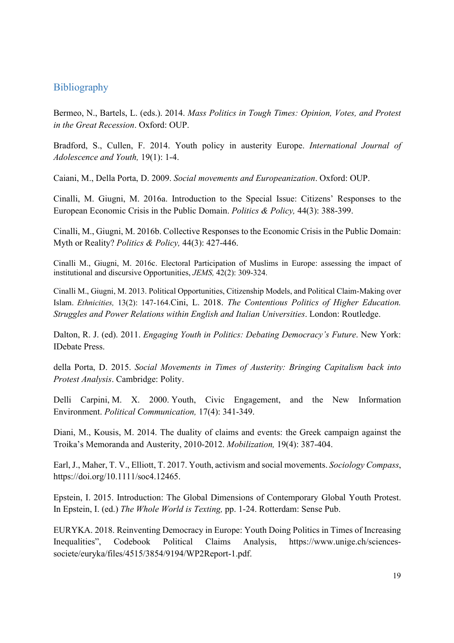## **Bibliography**

Bermeo, N., Bartels, L. (eds.). 2014. *Mass Politics in Tough Times: Opinion, Votes, and Protest in the Great Recession*. Oxford: OUP.

Bradford, S., Cullen, F. 2014. Youth policy in austerity Europe. *International Journal of Adolescence and Youth,* 19(1): 1-4.

Caiani, M., Della Porta, D. 2009. *Social movements and Europeanization*. Oxford: OUP.

Cinalli, M. Giugni, M. 2016a. Introduction to the Special Issue: Citizens' Responses to the European Economic Crisis in the Public Domain. *Politics & Policy,* 44(3): 388-399.

Cinalli, M., Giugni, M. 2016b. Collective Responses to the Economic Crisis in the Public Domain: Myth or Reality? *Politics & Policy,* 44(3): 427-446.

Cinalli M., Giugni, M. 2016c. Electoral Participation of Muslims in Europe: assessing the impact of institutional and discursive Opportunities, *JEMS,* 42(2): 309-324.

Cinalli M., Giugni, M. 2013. Political Opportunities, Citizenship Models, and Political Claim-Making over Islam. *Ethnicities,* 13(2): 147-164.Cini, L. 2018. *The Contentious Politics of Higher Education. Struggles and Power Relations within English and Italian Universities*. London: Routledge.

Dalton, R. J. (ed). 2011. *Engaging Youth in Politics: Debating Democracy's Future*. New York: IDebate Press.

della Porta, D. 2015. *Social Movements in Times of Austerity: Bringing Capitalism back into Protest Analysis*. Cambridge: Polity.

Delli Carpini, M. X. 2000. Youth, Civic Engagement, and the New Information Environment. *Political Communication,* 17(4): 341-349.

Diani, M., Kousis, M. 2014. The duality of claims and events: the Greek campaign against the Troika's Memoranda and Austerity, 2010-2012. *Mobilization,* 19(4): 387-404.

Earl, J., Maher, T. V., Elliott, T. 2017. Youth, activism and social movements. *Sociology Compass*, https://doi.org/10.1111/soc4.12465.

Epstein, I. 2015. Introduction: The Global Dimensions of Contemporary Global Youth Protest. In Epstein, I. (ed.) *The Whole World is Texting,* pp. 1-24. Rotterdam: Sense Pub.

EURYKA. 2018. Reinventing Democracy in Europe: Youth Doing Politics in Times of Increasing Inequalities", Codebook Political Claims Analysis, https://www.unige.ch/sciencessociete/euryka/files/4515/3854/9194/WP2Report-1.pdf.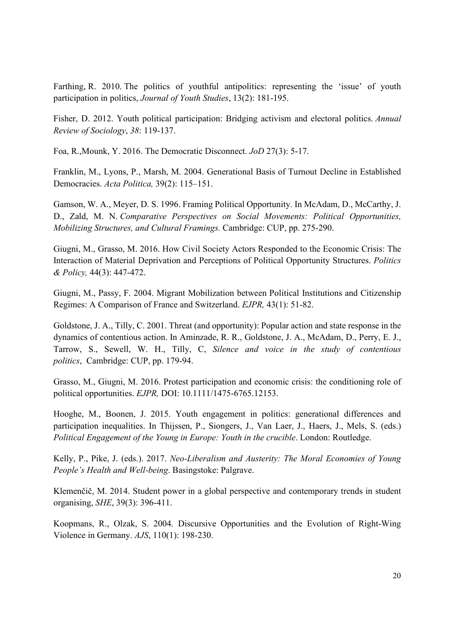Farthing, R. 2010. The politics of youthful antipolitics: representing the 'issue' of youth participation in politics, *Journal of Youth Studies*, 13(2): 181-195.

Fisher, D. 2012. Youth political participation: Bridging activism and electoral politics. *Annual Review of Sociology*, *38*: 119-137.

Foa, R.,Mounk, Y. 2016. The Democratic Disconnect. *JoD* 27(3): 5-17.

Franklin, M., Lyons, P., Marsh, M. 2004. Generational Basis of Turnout Decline in Established Democracies. *Acta Politica,* 39(2): 115–151.

Gamson, W. A., Meyer, D. S. 1996. Framing Political Opportunity. In McAdam, D., McCarthy, J. D., Zald, M. N. *Comparative Perspectives on Social Movements: Political Opportunities, Mobilizing Structures, and Cultural Framings.* Cambridge: CUP, pp. 275-290.

Giugni, M., Grasso, M. 2016. How Civil Society Actors Responded to the Economic Crisis: The Interaction of Material Deprivation and Perceptions of Political Opportunity Structures. *Politics & Policy,* 44(3): 447-472.

Giugni, M., Passy, F. 2004. Migrant Mobilization between Political Institutions and Citizenship Regimes: A Comparison of France and Switzerland. *EJPR,* 43(1): 51-82.

Goldstone, J. A., Tilly, C. 2001. Threat (and opportunity): Popular action and state response in the dynamics of contentious action. In Aminzade, R. R., Goldstone, J. A., McAdam, D., Perry, E. J., Tarrow, S., Sewell, W. H., Tilly, C, *Silence and voice in the study of contentious politics*, Cambridge: CUP, pp. 179-94.

Grasso, M., Giugni, M. 2016. Protest participation and economic crisis: the conditioning role of political opportunities. *EJPR,* DOI: 10.1111/1475-6765.12153.

Hooghe, M., Boonen, J. 2015. Youth engagement in politics: generational differences and participation inequalities. In Thijssen, P., Siongers, J., Van Laer, J., Haers, J., Mels, S. (eds.) *Political Engagement of the Young in Europe: Youth in the crucible*. London: Routledge.

Kelly, P., Pike, J. (eds.). 2017. *Neo-Liberalism and Austerity: The Moral Economies of Young People's Health and Well-being*. Basingstoke: Palgrave.

Klemenčič, M. 2014. Student power in a global perspective and contemporary trends in student organising, *SHE*, 39(3): 396-411.

Koopmans, R., Olzak, S. 2004. Discursive Opportunities and the Evolution of Right‐Wing Violence in Germany. *AJS*, 110(1): 198-230.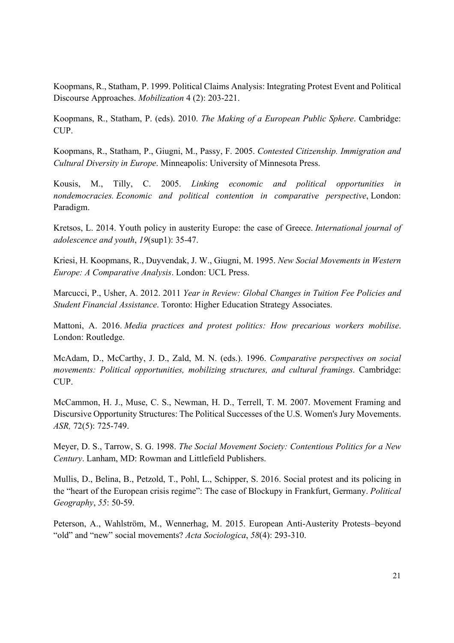Koopmans, R., Statham, P. 1999. Political Claims Analysis: Integrating Protest Event and Political Discourse Approaches. *Mobilization* 4 (2): 203-221.

Koopmans, R., Statham, P. (eds). 2010. *The Making of a European Public Sphere*. Cambridge: CUP.

Koopmans, R., Statham, P., Giugni, M., Passy, F. 2005. *Contested Citizenship. Immigration and Cultural Diversity in Europe*. Minneapolis: University of Minnesota Press.

Kousis, M., Tilly, C. 2005. *Linking economic and political opportunities in nondemocracies. Economic and political contention in comparative perspective*, London: Paradigm.

Kretsos, L. 2014. Youth policy in austerity Europe: the case of Greece. *International journal of adolescence and youth*, *19*(sup1): 35-47.

Kriesi, H. Koopmans, R., Duyvendak, J. W., Giugni, M. 1995. *New Social Movements in Western Europe: A Comparative Analysis*. London: UCL Press.

Marcucci, P., Usher, A. 2012. 2011 *Year in Review: Global Changes in Tuition Fee Policies and Student Financial Assistance*. Toronto: Higher Education Strategy Associates.

Mattoni, A. 2016. *Media practices and protest politics: How precarious workers mobilise*. London: Routledge.

McAdam, D., McCarthy, J. D., Zald, M. N. (eds.). 1996. *Comparative perspectives on social movements: Political opportunities, mobilizing structures, and cultural framings*. Cambridge: CUP.

McCammon, H. J., Muse, C. S., Newman, H. D., Terrell, T. M. 2007. Movement Framing and Discursive Opportunity Structures: The Political Successes of the U.S. Women's Jury Movements. *ASR,* 72(5): 725-749.

Meyer, D. S., Tarrow, S. G. 1998. *The Social Movement Society: Contentious Politics for a New Century*. Lanham, MD: Rowman and Littlefield Publishers.

Mullis, D., Belina, B., Petzold, T., Pohl, L., Schipper, S. 2016. Social protest and its policing in the "heart of the European crisis regime": The case of Blockupy in Frankfurt, Germany. *Political Geography*, *55*: 50-59.

Peterson, A., Wahlström, M., Wennerhag, M. 2015. European Anti-Austerity Protests–beyond "old" and "new" social movements? *Acta Sociologica*, *58*(4): 293-310.